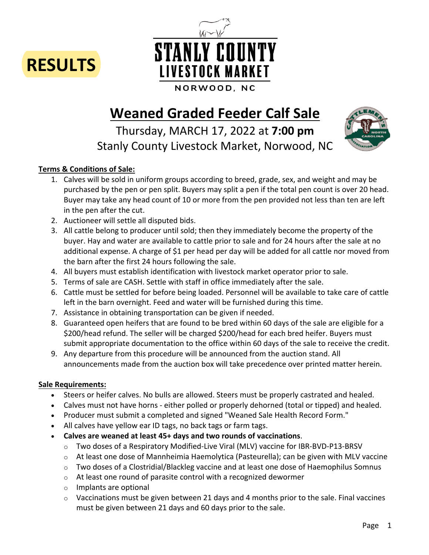



# **Weaned Graded Feeder Calf Sale**

Thursday, MARCH 17, 2022 at **7:00 pm** Stanly County Livestock Market, Norwood, NC



## **Terms & Conditions of Sale:**

- 1. Calves will be sold in uniform groups according to breed, grade, sex, and weight and may be purchased by the pen or pen split. Buyers may split a pen if the total pen count is over 20 head. Buyer may take any head count of 10 or more from the pen provided not less than ten are left in the pen after the cut.
- 2. Auctioneer will settle all disputed bids.
- 3. All cattle belong to producer until sold; then they immediately become the property of the buyer. Hay and water are available to cattle prior to sale and for 24 hours after the sale at no additional expense. A charge of \$1 per head per day will be added for all cattle nor moved from the barn after the first 24 hours following the sale.
- 4. All buyers must establish identification with livestock market operator prior to sale.
- 5. Terms of sale are CASH. Settle with staff in office immediately after the sale.
- 6. Cattle must be settled for before being loaded. Personnel will be available to take care of cattle left in the barn overnight. Feed and water will be furnished during this time.
- 7. Assistance in obtaining transportation can be given if needed.
- 8. Guaranteed open heifers that are found to be bred within 60 days of the sale are eligible for a \$200/head refund. The seller will be charged \$200/head for each bred heifer. Buyers must submit appropriate documentation to the office within 60 days of the sale to receive the credit.
- 9. Any departure from this procedure will be announced from the auction stand. All announcements made from the auction box will take precedence over printed matter herein.

## **Sale Requirements:**

- Steers or heifer calves. No bulls are allowed. Steers must be properly castrated and healed.
- Calves must not have horns either polled or properly dehorned (total or tipped) and healed.
- Producer must submit a completed and signed "Weaned Sale Health Record Form."
- All calves have yellow ear ID tags, no back tags or farm tags.
- **Calves are weaned at least 45+ days and two rounds of vaccinations**.
	- o Two doses of a Respiratory Modified-Live Viral (MLV) vaccine for IBR-BVD-P13-BRSV
	- $\circ$  At least one dose of Mannheimia Haemolytica (Pasteurella); can be given with MLV vaccine
	- $\circ$  Two doses of a Clostridial/Blackleg vaccine and at least one dose of Haemophilus Somnus
	- o At least one round of parasite control with a recognized dewormer
	- o Implants are optional
	- $\circ$  Vaccinations must be given between 21 days and 4 months prior to the sale. Final vaccines must be given between 21 days and 60 days prior to the sale.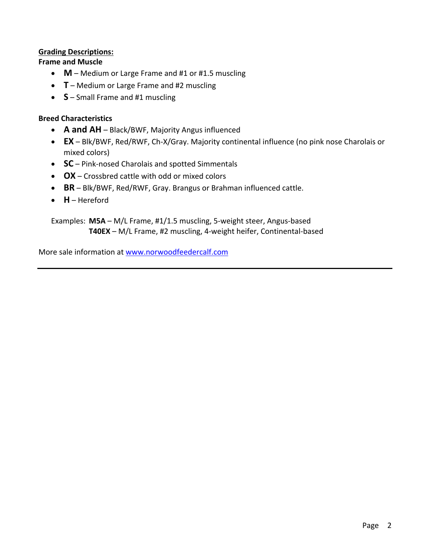## **Grading Descriptions:**

**Frame and Muscle**

- **M** Medium or Large Frame and #1 or #1.5 muscling
- **T** Medium or Large Frame and #2 muscling
- **S** Small Frame and #1 muscling

#### **Breed Characteristics**

- **A and AH** Black/BWF, Majority Angus influenced
- **EX** Blk/BWF, Red/RWF, Ch-X/Gray. Majority continental influence (no pink nose Charolais or mixed colors)
- **SC** Pink-nosed Charolais and spotted Simmentals
- **OX** Crossbred cattle with odd or mixed colors
- **BR** Blk/BWF, Red/RWF, Gray. Brangus or Brahman influenced cattle.
- **H** Hereford

Examples: **M5A** – M/L Frame, #1/1.5 muscling, 5-weight steer, Angus-based **T40EX** – M/L Frame, #2 muscling, 4-weight heifer, Continental-based

More sale information at www.norwoodfeedercalf.com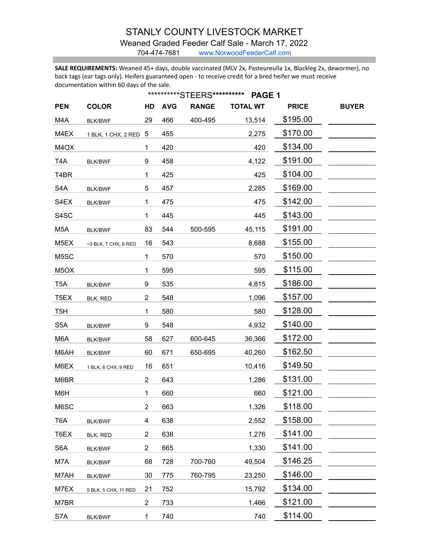# STANLY COUNTY LIVESTOCK MARKET

#### Weaned Graded Feeder Calf Sale - March 17, 2022

704-474-7681 www.NorwoodFeederCalf.com

**SALE REQUIREMENTS:** Weaned 45+ days, double vaccinated (MLV 2x, Pasteureulla 1x, Blackleg 2x, dewormer), no back tags (ear tags only). Heifers guaranteed open - to receive credit for a bred heifer we must receive documentation within 60 days of the sale.

|                   |                       |                | ***********STEERS********** |              |                 |              |              |
|-------------------|-----------------------|----------------|-----------------------------|--------------|-----------------|--------------|--------------|
| <b>PEN</b>        | <b>COLOR</b>          | HD             | <b>AVG</b>                  | <b>RANGE</b> | <b>TOTAL WT</b> | <b>PRICE</b> | <b>BUYER</b> |
| M4A               | <b>BLK/BWF</b>        | 29             | 466                         | 400-495      | 13,514          | \$195.00     |              |
| M4EX              | 1 BLK, 1 CHX, 2 RED 5 |                | 455                         |              | 2,275           | \$170.00     |              |
| M4OX              |                       | 1              | 420                         |              | 420             | \$134.00     |              |
| T4A               | <b>BLK/BWF</b>        | 9              | 458                         |              | 4,122           | \$191.00     |              |
| T <sub>4</sub> BR |                       | 1              | 425                         |              | 425             | \$104.00     |              |
| S4A               | <b>BLK/BWF</b>        | 5              | 457                         |              | 2,285           | \$169.00     |              |
| S4EX              | <b>BLK/BWF</b>        | 1              | 475                         |              | 475             | \$142.00     |              |
| S4SC              |                       | 1              | 445                         |              | 445             | \$143.00     |              |
| M <sub>5</sub> A  | <b>BLK/BWF</b>        | 83             | 544                         | 500-595      | 45,115          | \$191.00     |              |
| M <sub>5</sub> EX | ~3 BLK, 7 CHX, 6 RED  | 16             | 543                         |              | 8,688           | \$155.00     |              |
| M5SC              |                       | 1              | 570                         |              | 570             | \$150.00     |              |
| M <sub>5</sub> OX |                       | 1              | 595                         |              | 595             | \$115.00     |              |
| T <sub>5</sub> A  | <b>BLK/BWF</b>        | 9              | 535                         |              | 4,815           | \$186.00     |              |
| T <sub>5</sub> EX | BLK, RED              | 2              | 548                         |              | 1,096           | \$157.00     |              |
| T <sub>5</sub> H  |                       | 1              | 580                         |              | 580             | \$128.00     |              |
| S <sub>5</sub> A  | <b>BLK/BWF</b>        | 9              | 548                         |              | 4,932           | \$140.00     |              |
| M6A               | <b>BLK/BWF</b>        | 58             | 627                         | 600-645      | 36,366          | \$172.00     |              |
| M6AH              | <b>BLK/BWF</b>        | 60             | 671                         | 650-695      | 40,260          | \$162.50     |              |
| M6EX              | 1 BLK, 6 CHX, 9 RED   | 16             | 651                         |              | 10,416          | \$149.50     |              |
| M6BR              |                       | 2              | 643                         |              | 1,286           | \$131.00     |              |
| M6H               |                       | 1              | 660                         |              | 660             | \$121.00     |              |
| M6SC              |                       | 2              | 663                         |              | 1,326           | \$118.00     |              |
| T6A               | <b>BLK/BWF</b>        | 4              | 638                         |              | 2,552           | \$158.00     |              |
| T6EX              | BLK, RED              | 2              | 638                         |              | 1,276           | \$141.00     |              |
| S6A               | <b>BLK/BWF</b>        | $\overline{2}$ | 665                         |              | 1,330           | \$141.00     |              |
| M7A               | <b>BLK/BWF</b>        | 68             | 728                         | 700-760      | 49,504          | \$146.25     |              |
| M7AH              | <b>BLK/BWF</b>        | 30             | 775                         | 760-795      | 23,250          | \$146.00     |              |
| M7EX              | 5 BLK, 5 CHX, 11 RED  | 21             | 752                         |              | 15,792          | \$134.00     |              |
| M7BR              |                       | $\overline{2}$ | 733                         |              | 1,466           | \$121.00     |              |
| S7A               | <b>BLK/BWF</b>        | $\mathbf 1$    | 740                         |              | 740             | \$114.00     |              |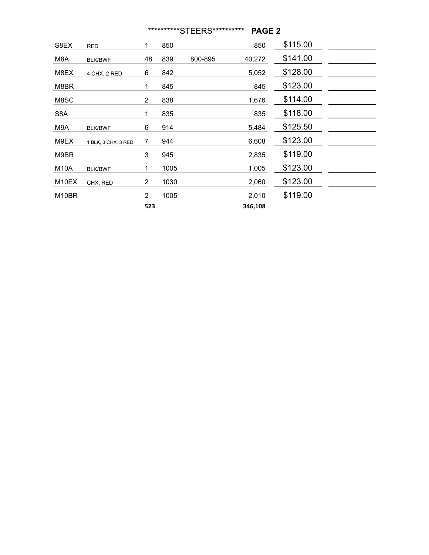## \*\*\*\*\*\*\*\*\*\*STEERS**\*\*\*\*\*\*\*\*\*\* PAGE 2**

| S8EX  | <b>RED</b>          | 1                     | 850  |         | 850     | \$115.00 |  |
|-------|---------------------|-----------------------|------|---------|---------|----------|--|
| M8A   | <b>BLK/BWF</b>      | 48                    | 839  | 800-895 | 40,272  | \$141.00 |  |
| M8EX  | 4 CHX, 2 RED        | 6                     | 842  |         | 5,052   | \$128.00 |  |
| M8BR  |                     | 1                     | 845  |         | 845     | \$123.00 |  |
| M8SC  |                     | 2                     | 838  |         | 1,676   | \$114.00 |  |
| S8A   |                     | 1                     | 835  |         | 835     | \$118.00 |  |
| M9A   | <b>BLK/BWF</b>      | 6                     | 914  |         | 5,484   | \$125.50 |  |
| M9EX  | 1 BLK, 3 CHX, 3 RED | 7                     | 944  |         | 6,608   | \$123.00 |  |
| M9BR  |                     | 3                     | 945  |         | 2,835   | \$119.00 |  |
| M10A  | <b>BLK/BWF</b>      | 1                     | 1005 |         | 1,005   | \$123.00 |  |
| M10EX | CHX, RED            | 2                     | 1030 |         | 2,060   | \$123.00 |  |
| M10BR |                     | $\mathbf{2}^{\prime}$ | 1005 |         | 2,010   | \$119.00 |  |
|       |                     | 523                   |      |         | 346,108 |          |  |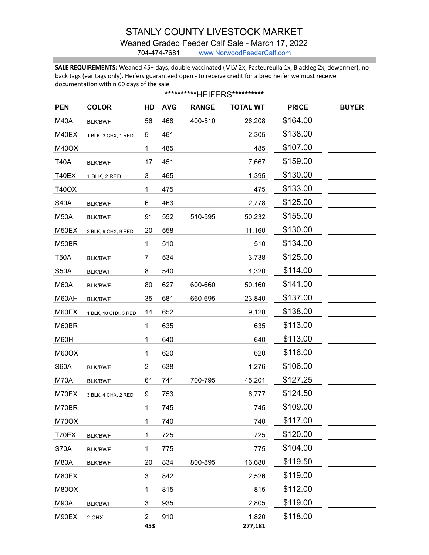# STANLY COUNTY LIVESTOCK MARKET

### Weaned Graded Feeder Calf Sale - March 17, 2022

704-474-7681 www.NorwoodFeederCalf.com

**SALE REQUIREMENTS:** Weaned 45+ days, double vaccinated (MLV 2x, Pasteureulla 1x, Blackleg 2x, dewormer), no back tags (ear tags only). Heifers guaranteed open - to receive credit for a bred heifer we must receive documentation within 60 days of the sale.

| ***********HEIFERS********** |                      |                |            |              |                 |              |              |  |
|------------------------------|----------------------|----------------|------------|--------------|-----------------|--------------|--------------|--|
| <b>PEN</b>                   | <b>COLOR</b>         | HD             | <b>AVG</b> | <b>RANGE</b> | <b>TOTAL WT</b> | <b>PRICE</b> | <b>BUYER</b> |  |
| <b>M40A</b>                  | <b>BLK/BWF</b>       | 56             | 468        | 400-510      | 26,208          | \$164.00     |              |  |
| M40EX                        | 1 BLK, 3 CHX, 1 RED  | 5              | 461        |              | 2,305           | \$138.00     |              |  |
| <b>M40OX</b>                 |                      | 1              | 485        |              | 485             | \$107.00     |              |  |
| <b>T40A</b>                  | <b>BLK/BWF</b>       | 17             | 451        |              | 7,667           | \$159.00     |              |  |
| T40EX                        | 1 BLK, 2 RED         | 3              | 465        |              | 1,395           | \$130.00     |              |  |
| <b>T40OX</b>                 |                      | 1              | 475        |              | 475             | \$133.00     |              |  |
| <b>S40A</b>                  | <b>BLK/BWF</b>       | 6              | 463        |              | 2,778           | \$125.00     |              |  |
| <b>M50A</b>                  | <b>BLK/BWF</b>       | 91             | 552        | 510-595      | 50,232          | \$155.00     |              |  |
| M50EX                        | 2 BLK, 9 CHX, 9 RED  | 20             | 558        |              | 11,160          | \$130.00     |              |  |
| M50BR                        |                      | 1              | 510        |              | 510             | \$134.00     |              |  |
| <b>T50A</b>                  | <b>BLK/BWF</b>       | 7              | 534        |              | 3,738           | \$125.00     |              |  |
| <b>S50A</b>                  | <b>BLK/BWF</b>       | 8              | 540        |              | 4,320           | \$114.00     |              |  |
| M60A                         | <b>BLK/BWF</b>       | 80             | 627        | 600-660      | 50,160          | \$141.00     |              |  |
| M60AH                        | <b>BLK/BWF</b>       | 35             | 681        | 660-695      | 23,840          | \$137.00     |              |  |
| M60EX                        | 1 BLK, 10 CHX, 3 RED | 14             | 652        |              | 9,128           | \$138.00     |              |  |
| M60BR                        |                      | 1              | 635        |              | 635             | \$113.00     |              |  |
| M60H                         |                      | 1              | 640        |              | 640             | \$113.00     |              |  |
| M60OX                        |                      | 1              | 620        |              | 620             | \$116.00     |              |  |
| <b>S60A</b>                  | <b>BLK/BWF</b>       | 2              | 638        |              | 1,276           | \$106.00     |              |  |
| M70A                         | <b>BLK/BWF</b>       | 61             | 741        | 700-795      | 45,201          | \$127.25     |              |  |
| M70EX                        | 3 BLK, 4 CHX, 2 RED  | 9              | 753        |              | 6,777           | \$124.50     |              |  |
| M70BR                        |                      | 1              | 745        |              | 745             | \$109.00     |              |  |
| M70OX                        |                      | 1              | 740        |              | 740             | \$117.00     |              |  |
| T70EX                        | <b>BLK/BWF</b>       | 1              | 725        |              | 725             | \$120.00     |              |  |
| <b>S70A</b>                  | <b>BLK/BWF</b>       | $\mathbf{1}$   | 775        |              | 775             | \$104.00     |              |  |
| M80A                         | <b>BLK/BWF</b>       | 20             | 834        | 800-895      | 16,680          | \$119.50     |              |  |
| M80EX                        |                      | 3              | 842        |              | 2,526           | \$119.00     |              |  |
| <b>M80OX</b>                 |                      | 1              | 815        |              | 815             | \$112.00     |              |  |
| <b>M90A</b>                  | <b>BLK/BWF</b>       | 3              | 935        |              | 2,805           | \$119.00     |              |  |
| M90EX                        | 2 CHX                | $\overline{2}$ | 910        |              | 1,820           | \$118.00     |              |  |
|                              |                      | 453            |            |              | 277,181         |              |              |  |